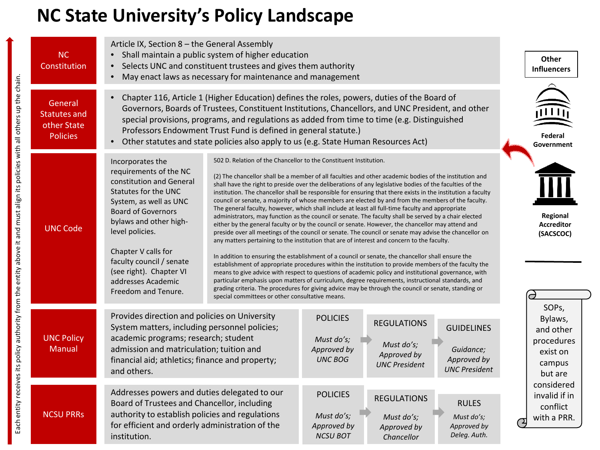## **NC State University's Policy Landscape**

| <b>NC</b><br>Constitution                                        | Article IX, Section 8 - the General Assembly<br>Shall maintain a public system of higher education<br>Selects UNC and constituent trustees and gives them authority<br>May enact laws as necessary for maintenance and management                                                                                                                                                                                                                           |                                                                                                                                                                                                                                                                                                                                                                                                                                                                                                                                                                                                                                                                                                                                                                                                                                                                                                                                                                                                                                                                                                                                                                                                                                                                                                                                                                                                                                                                                                                                                                                                                              | Other<br><b>Influencers</b>                                                  |
|------------------------------------------------------------------|-------------------------------------------------------------------------------------------------------------------------------------------------------------------------------------------------------------------------------------------------------------------------------------------------------------------------------------------------------------------------------------------------------------------------------------------------------------|------------------------------------------------------------------------------------------------------------------------------------------------------------------------------------------------------------------------------------------------------------------------------------------------------------------------------------------------------------------------------------------------------------------------------------------------------------------------------------------------------------------------------------------------------------------------------------------------------------------------------------------------------------------------------------------------------------------------------------------------------------------------------------------------------------------------------------------------------------------------------------------------------------------------------------------------------------------------------------------------------------------------------------------------------------------------------------------------------------------------------------------------------------------------------------------------------------------------------------------------------------------------------------------------------------------------------------------------------------------------------------------------------------------------------------------------------------------------------------------------------------------------------------------------------------------------------------------------------------------------------|------------------------------------------------------------------------------|
| General<br><b>Statutes and</b><br>other State<br><b>Policies</b> | Chapter 116, Article 1 (Higher Education) defines the roles, powers, duties of the Board of<br>Governors, Boards of Trustees, Constituent Institutions, Chancellors, and UNC President, and other<br>special provisions, programs, and regulations as added from time to time (e.g. Distinguished<br>Professors Endowment Trust Fund is defined in general statute.)<br>Other statutes and state policies also apply to us (e.g. State Human Resources Act) |                                                                                                                                                                                                                                                                                                                                                                                                                                                                                                                                                                                                                                                                                                                                                                                                                                                                                                                                                                                                                                                                                                                                                                                                                                                                                                                                                                                                                                                                                                                                                                                                                              | Federa<br>Government                                                         |
| <b>UNC Code</b>                                                  | Incorporates the<br>requirements of the NC<br>constitution and General<br>Statutes for the UNC<br>System, as well as UNC<br><b>Board of Governors</b><br>bylaws and other high-<br>level policies.<br>Chapter V calls for<br>faculty council / senate<br>(see right). Chapter VI<br>addresses Academic<br>Freedom and Tenure.                                                                                                                               | 502 D. Relation of the Chancellor to the Constituent Institution.<br>(2) The chancellor shall be a member of all faculties and other academic bodies of the institution and<br>shall have the right to preside over the deliberations of any legislative bodies of the faculties of the<br>institution. The chancellor shall be responsible for ensuring that there exists in the institution a faculty<br>council or senate, a majority of whose members are elected by and from the members of the faculty.<br>The general faculty, however, which shall include at least all full-time faculty and appropriate<br>administrators, may function as the council or senate. The faculty shall be served by a chair elected<br>either by the general faculty or by the council or senate. However, the chancellor may attend and<br>preside over all meetings of the council or senate. The council or senate may advise the chancellor on<br>any matters pertaining to the institution that are of interest and concern to the faculty.<br>In addition to ensuring the establishment of a council or senate, the chancellor shall ensure the<br>establishment of appropriate procedures within the institution to provide members of the faculty the<br>means to give advice with respect to questions of academic policy and institutional governance, with<br>particular emphasis upon matters of curriculum, degree requirements, instructional standards, and<br>grading criteria. The procedures for giving advice may be through the council or senate, standing or<br>special committees or other consultative means. |                                                                              |
| <b>UNC Policy</b><br>Manual                                      | Provides direction and policies on University<br>System matters, including personnel policies;<br>academic programs; research; student<br>admission and matriculation; tuition and<br>financial aid; athletics; finance and property;<br>and others.                                                                                                                                                                                                        | <b>POLICIES</b><br><b>REGULATIONS</b><br><b>GUIDELINES</b><br>Must do's;<br>Must do's;<br>Approved by<br>Guidance;<br>Approved by<br><b>UNC BOG</b><br>Approved by<br><b>UNC President</b><br><b>UNC President</b>                                                                                                                                                                                                                                                                                                                                                                                                                                                                                                                                                                                                                                                                                                                                                                                                                                                                                                                                                                                                                                                                                                                                                                                                                                                                                                                                                                                                           | SOPs,<br>Bylaws,<br>and other<br>procedures<br>exist on<br>campus<br>but are |
| <b>NCSU PRRs</b>                                                 | Addresses powers and duties delegated to our<br>Board of Trustees and Chancellor, including<br>authority to establish policies and regulations<br>for efficient and orderly administration of the<br>institution.                                                                                                                                                                                                                                           | <b>POLICIES</b><br><b>REGULATIONS</b><br><b>RULES</b><br>Must do's;<br>Must do's;<br>Must do's;<br>Approved by<br>Approved by<br>Approved by<br>Deleg. Auth.<br><b>NCSU BOT</b><br>Chancellor                                                                                                                                                                                                                                                                                                                                                                                                                                                                                                                                                                                                                                                                                                                                                                                                                                                                                                                                                                                                                                                                                                                                                                                                                                                                                                                                                                                                                                | considered<br>invalid if in<br>conflict<br>with a PRR.                       |